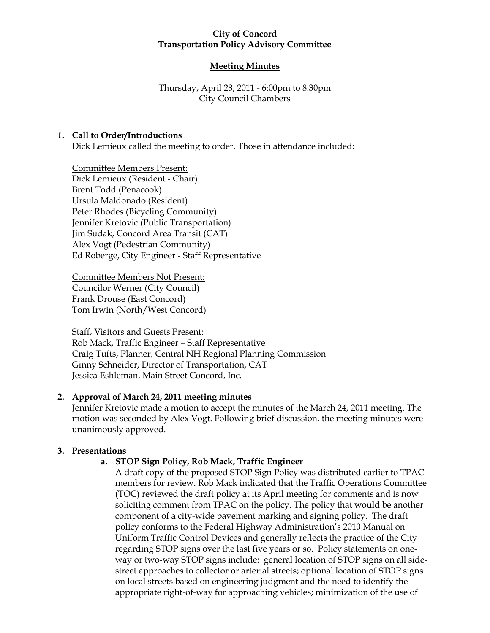## **City of Concord Transportation Policy Advisory Committee**

## **Meeting Minutes**

## Thursday, April 28, 2011 - 6:00pm to 8:30pm City Council Chambers

### **1. Call to Order/Introductions**

Dick Lemieux called the meeting to order. Those in attendance included:

Committee Members Present: Dick Lemieux (Resident - Chair) Brent Todd (Penacook) Ursula Maldonado (Resident) Peter Rhodes (Bicycling Community) Jennifer Kretovic (Public Transportation) Jim Sudak, Concord Area Transit (CAT) Alex Vogt (Pedestrian Community) Ed Roberge, City Engineer - Staff Representative

Committee Members Not Present: Councilor Werner (City Council) Frank Drouse (East Concord) Tom Irwin (North/West Concord)

Staff, Visitors and Guests Present: Rob Mack, Traffic Engineer – Staff Representative Craig Tufts, Planner, Central NH Regional Planning Commission Ginny Schneider, Director of Transportation, CAT Jessica Eshleman, Main Street Concord, Inc.

## **2. Approval of March 24, 2011 meeting minutes**

Jennifer Kretovic made a motion to accept the minutes of the March 24, 2011 meeting. The motion was seconded by Alex Vogt. Following brief discussion, the meeting minutes were unanimously approved.

## **3. Presentations**

## **a. STOP Sign Policy, Rob Mack, Traffic Engineer**

A draft copy of the proposed STOP Sign Policy was distributed earlier to TPAC members for review. Rob Mack indicated that the Traffic Operations Committee (TOC) reviewed the draft policy at its April meeting for comments and is now soliciting comment from TPAC on the policy. The policy that would be another component of a city-wide pavement marking and signing policy. The draft policy conforms to the Federal Highway Administration's 2010 Manual on Uniform Traffic Control Devices and generally reflects the practice of the City regarding STOP signs over the last five years or so. Policy statements on oneway or two-way STOP signs include: general location of STOP signs on all sidestreet approaches to collector or arterial streets; optional location of STOP signs on local streets based on engineering judgment and the need to identify the appropriate right-of-way for approaching vehicles; minimization of the use of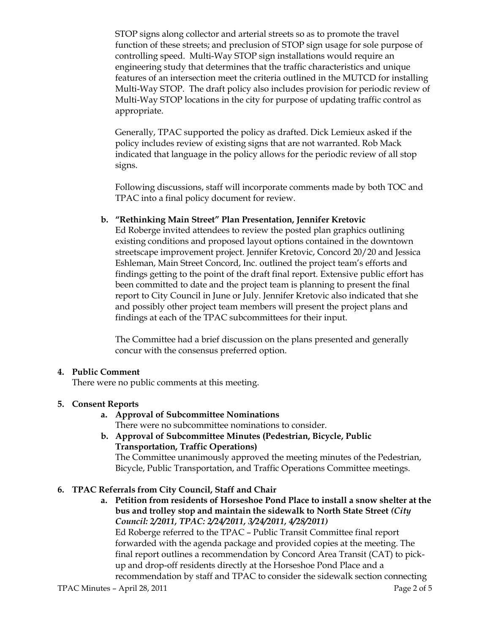STOP signs along collector and arterial streets so as to promote the travel function of these streets; and preclusion of STOP sign usage for sole purpose of controlling speed. Multi-Way STOP sign installations would require an engineering study that determines that the traffic characteristics and unique features of an intersection meet the criteria outlined in the MUTCD for installing Multi-Way STOP. The draft policy also includes provision for periodic review of Multi-Way STOP locations in the city for purpose of updating traffic control as appropriate.

Generally, TPAC supported the policy as drafted. Dick Lemieux asked if the policy includes review of existing signs that are not warranted. Rob Mack indicated that language in the policy allows for the periodic review of all stop signs.

Following discussions, staff will incorporate comments made by both TOC and TPAC into a final policy document for review.

## **b. "Rethinking Main Street" Plan Presentation, Jennifer Kretovic**

Ed Roberge invited attendees to review the posted plan graphics outlining existing conditions and proposed layout options contained in the downtown streetscape improvement project. Jennifer Kretovic, Concord 20/20 and Jessica Eshleman, Main Street Concord, Inc. outlined the project team's efforts and findings getting to the point of the draft final report. Extensive public effort has been committed to date and the project team is planning to present the final report to City Council in June or July. Jennifer Kretovic also indicated that she and possibly other project team members will present the project plans and findings at each of the TPAC subcommittees for their input.

The Committee had a brief discussion on the plans presented and generally concur with the consensus preferred option.

#### **4. Public Comment**

There were no public comments at this meeting.

#### **5. Consent Reports**

- **a. Approval of Subcommittee Nominations** There were no subcommittee nominations to consider.
- **b. Approval of Subcommittee Minutes (Pedestrian, Bicycle, Public Transportation, Traffic Operations)** The Committee unanimously approved the meeting minutes of the Pedestrian, Bicycle, Public Transportation, and Traffic Operations Committee meetings.

#### **6. TPAC Referrals from City Council, Staff and Chair**

**a. Petition from residents of Horseshoe Pond Place to install a snow shelter at the bus and trolley stop and maintain the sidewalk to North State Street** *(City Council: 2/2011, TPAC: 2/24/2011, 3/24/2011, 4/28/2011)* Ed Roberge referred to the TPAC – Public Transit Committee final report forwarded with the agenda package and provided copies at the meeting. The final report outlines a recommendation by Concord Area Transit (CAT) to pickup and drop-off residents directly at the Horseshoe Pond Place and a recommendation by staff and TPAC to consider the sidewalk section connecting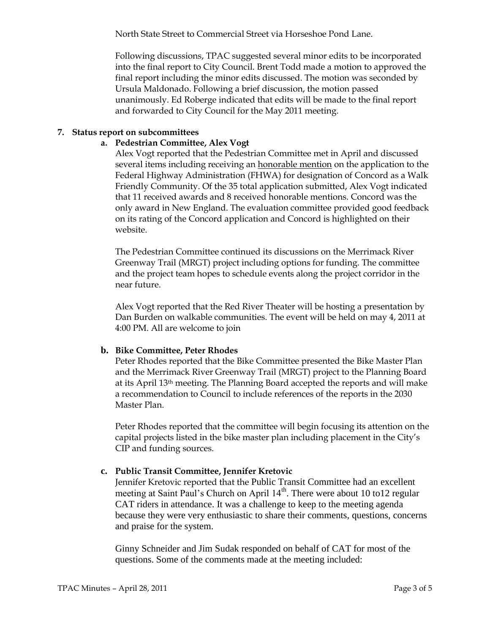North State Street to Commercial Street via Horseshoe Pond Lane.

Following discussions, TPAC suggested several minor edits to be incorporated into the final report to City Council. Brent Todd made a motion to approved the final report including the minor edits discussed. The motion was seconded by Ursula Maldonado. Following a brief discussion, the motion passed unanimously. Ed Roberge indicated that edits will be made to the final report and forwarded to City Council for the May 2011 meeting.

## **7. Status report on subcommittees**

## **a. Pedestrian Committee, Alex Vogt**

Alex Vogt reported that the Pedestrian Committee met in April and discussed several items including receiving an honorable mention on the application to the Federal Highway Administration (FHWA) for designation of Concord as a Walk Friendly Community. Of the 35 total application submitted, Alex Vogt indicated that 11 received awards and 8 received honorable mentions. Concord was the only award in New England. The evaluation committee provided good feedback on its rating of the Concord application and Concord is highlighted on their website.

The Pedestrian Committee continued its discussions on the Merrimack River Greenway Trail (MRGT) project including options for funding. The committee and the project team hopes to schedule events along the project corridor in the near future.

Alex Vogt reported that the Red River Theater will be hosting a presentation by Dan Burden on walkable communities. The event will be held on may 4, 2011 at 4:00 PM. All are welcome to join

#### **b. Bike Committee, Peter Rhodes**

Peter Rhodes reported that the Bike Committee presented the Bike Master Plan and the Merrimack River Greenway Trail (MRGT) project to the Planning Board at its April 13th meeting. The Planning Board accepted the reports and will make a recommendation to Council to include references of the reports in the 2030 Master Plan.

Peter Rhodes reported that the committee will begin focusing its attention on the capital projects listed in the bike master plan including placement in the City's CIP and funding sources.

## **c. Public Transit Committee, Jennifer Kretovic**

Jennifer Kretovic reported that the Public Transit Committee had an excellent meeting at Saint Paul's Church on April 14<sup>th</sup>. There were about 10 to12 regular CAT riders in attendance. It was a challenge to keep to the meeting agenda because they were very enthusiastic to share their comments, questions, concerns and praise for the system.

Ginny Schneider and Jim Sudak responded on behalf of CAT for most of the questions. Some of the comments made at the meeting included: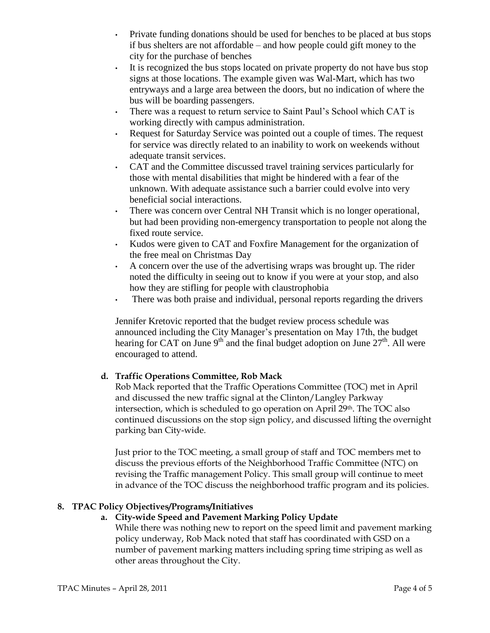- Private funding donations should be used for benches to be placed at bus stops if bus shelters are not affordable – and how people could gift money to the city for the purchase of benches
- It is recognized the bus stops located on private property do not have bus stop signs at those locations. The example given was Wal-Mart, which has two entryways and a large area between the doors, but no indication of where the bus will be boarding passengers.
- There was a request to return service to Saint Paul's School which CAT is working directly with campus administration.
- Request for Saturday Service was pointed out a couple of times. The request for service was directly related to an inability to work on weekends without adequate transit services.
- CAT and the Committee discussed travel training services particularly for those with mental disabilities that might be hindered with a fear of the unknown. With adequate assistance such a barrier could evolve into very beneficial social interactions.
- There was concern over Central NH Transit which is no longer operational, but had been providing non-emergency transportation to people not along the fixed route service.
- Kudos were given to CAT and Foxfire Management for the organization of the free meal on Christmas Day
- A concern over the use of the advertising wraps was brought up. The rider noted the difficulty in seeing out to know if you were at your stop, and also how they are stifling for people with claustrophobia
- There was both praise and individual, personal reports regarding the drivers

Jennifer Kretovic reported that the budget review process schedule was announced including the City Manager's presentation on May 17th, the budget hearing for CAT on June 9<sup>th</sup> and the final budget adoption on June  $27<sup>th</sup>$ . All were encouraged to attend.

# **d. Traffic Operations Committee, Rob Mack**

Rob Mack reported that the Traffic Operations Committee (TOC) met in April and discussed the new traffic signal at the Clinton/Langley Parkway intersection, which is scheduled to go operation on April 29th. The TOC also continued discussions on the stop sign policy, and discussed lifting the overnight parking ban City-wide.

Just prior to the TOC meeting, a small group of staff and TOC members met to discuss the previous efforts of the Neighborhood Traffic Committee (NTC) on revising the Traffic management Policy. This small group will continue to meet in advance of the TOC discuss the neighborhood traffic program and its policies.

# **8. TPAC Policy Objectives/Programs/Initiatives**

# **a. City-wide Speed and Pavement Marking Policy Update**

While there was nothing new to report on the speed limit and pavement marking policy underway, Rob Mack noted that staff has coordinated with GSD on a number of pavement marking matters including spring time striping as well as other areas throughout the City.